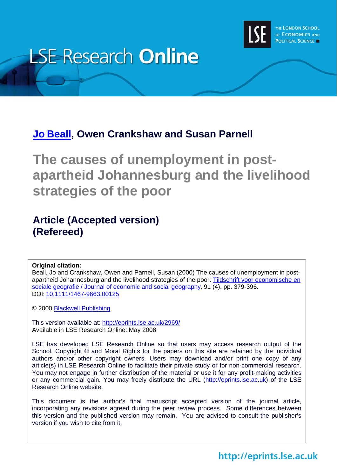

# **LSE Research Online**

## **[Jo](http://www.lse.ac.uk/people/j.beall@lse.ac.uk/) [Beall,](http://www.lse.ac.uk/people/j.beall@lse.ac.uk/) Owen Crankshaw and Susan Parnell**

**The causes of unemployment in postapartheid Johannesburg and the livelihood strategies of the poor** 

## **Article (Accepted version) (Refereed)**

#### **Original citation:**

Beall, Jo and Crankshaw, Owen and Parnell, Susan (2000) The causes of unemployment in postapartheid Johannesburg and the livelihood strategies of the poor. [Tijdschrift voor economische en](http://www.blackwellpublishing.com/journal.asp?ref=0040-747x)  [sociale geografie / Journal of economic and social geography,](http://www.blackwellpublishing.com/journal.asp?ref=0040-747x) 91 (4). pp. 379-396. DOI: [10.1111/1467-9663.00125](http://dx.doi.org/10.1111/1467-9663.00125) 

© 2000 [Blackwell Publishing](http://www.blackwellpublishing.com/)

This version available at: <http://eprints.lse.ac.uk/2969/> Available in LSE Research Online: May 2008

LSE has developed LSE Research Online so that users may access research output of the School. Copyright © and Moral Rights for the papers on this site are retained by the individual authors and/or other copyright owners. Users may download and/or print one copy of any article(s) in LSE Research Online to facilitate their private study or for non-commercial research. You may not engage in further distribution of the material or use it for any profit-making activities or any commercial gain. You may freely distribute the URL (http://eprints.lse.ac.uk) of the LSE Research Online website.

This document is the author's final manuscript accepted version of the journal article, incorporating any revisions agreed during the peer review process. Some differences between this version and the published version may remain. You are advised to consult the publisher's version if you wish to cite from it.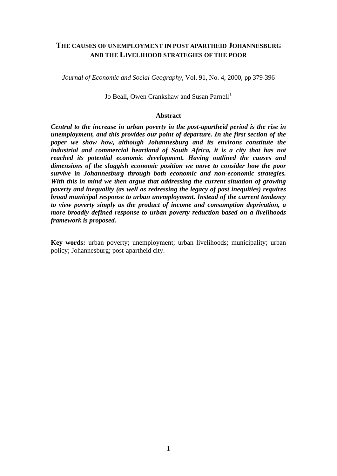### **THE CAUSES OF UNEMPLOYMENT IN POST APARTHEID JOHANNESBURG AND THE LIVELIHOOD STRATEGIES OF THE POOR**

*Journal of Economic and Social Geography,* Vol. 91, No. 4, 2000, pp 379-396

Jo Beall, Owen Crankshaw and Susan Parnell<sup>[1](#page-25-0)</sup>

#### **Abstract**

*Central to the increase in urban poverty in the post-apartheid period is the rise in unemployment, and this provides our point of departure. In the first section of the paper we show how, although Johannesburg and its environs constitute the industrial and commercial heartland of South Africa, it is a city that has not reached its potential economic development. Having outlined the causes and dimensions of the sluggish economic position we move to consider how the poor survive in Johannesburg through both economic and non-economic strategies. With this in mind we then argue that addressing the current situation of growing poverty and inequality (as well as redressing the legacy of past inequities) requires broad municipal response to urban unemployment. Instead of the current tendency to view poverty simply as the product of income and consumption deprivation, a more broadly defined response to urban poverty reduction based on a livelihoods framework is proposed.* 

**Key words:** urban poverty; unemployment; urban livelihoods; municipality; urban policy; Johannesburg; post-apartheid city.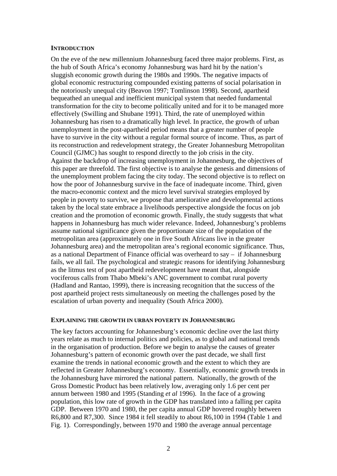#### **INTRODUCTION**

On the eve of the new millennium Johannesburg faced three major problems. First, as the hub of South Africa's economy Johannesburg was hard hit by the nation's sluggish economic growth during the 1980s and 1990s. The negative impacts of global economic restructuring compounded existing patterns of social polarisation in the notoriously unequal city (Beavon 1997; Tomlinson 1998). Second, apartheid bequeathed an unequal and inefficient municipal system that needed fundamental transformation for the city to become politically united and for it to be managed more effectively (Swilling and Shubane 1991). Third, the rate of unemployed within Johannesburg has risen to a dramatically high level. In practice, the growth of urban unemployment in the post-apartheid period means that a greater number of people have to survive in the city without a regular formal source of income. Thus, as part of its reconstruction and redevelopment strategy, the Greater Johannesburg Metropolitan Council (GJMC) has sought to respond directly to the job crisis in the city. Against the backdrop of increasing unemployment in Johannesburg, the objectives of this paper are threefold. The first objective is to analyse the genesis and dimensions of the unemployment problem facing the city today. The second objective is to reflect on how the poor of Johannesburg survive in the face of inadequate income. Third, given the macro-economic context and the micro level survival strategies employed by people in poverty to survive, we propose that ameliorative and developmental actions taken by the local state embrace a livelihoods perspective alongside the focus on job creation and the promotion of economic growth. Finally, the study suggests that what happens in Johannesburg has much wider relevance. Indeed, Johannesburg's problems assume national significance given the proportionate size of the population of the metropolitan area (approximately one in five South Africans live in the greater Johannesburg area) and the metropolitan area's regional economic significance. Thus, as a national Department of Finance official was overheard to say – if Johannesburg fails, we all fail. The psychological and strategic reasons for identifying Johannesburg as the litmus test of post apartheid redevelopment have meant that, alongside vociferous calls from Thabo Mbeki's ANC government to combat rural poverty (Hadland and Rantao, 1999), there is increasing recognition that the success of the post apartheid project rests simultaneously on meeting the challenges posed by the escalation of urban poverty and inequality (South Africa 2000).

#### **EXPLAINING THE GROWTH IN URBAN POVERTY IN JOHANNESBURG**

The key factors accounting for Johannesburg's economic decline over the last thirty years relate as much to internal politics and policies, as to global and national trends in the organisation of production. Before we begin to analyse the causes of greater Johannesburg's pattern of economic growth over the past decade, we shall first examine the trends in national economic growth and the extent to which they are reflected in Greater Johannesburg's economy. Essentially, economic growth trends in the Johannesburg have mirrored the national pattern. Nationally, the growth of the Gross Domestic Product has been relatively low, averaging only 1.6 per cent per annum between 1980 and 1995 (Standing *et al* 1996). In the face of a growing population, this low rate of growth in the GDP has translated into a falling per capita GDP. Between 1970 and 1980, the per capita annual GDP hovered roughly between R6,800 and R7,300. Since 1984 it fell steadily to about R6,100 in 1994 (Table 1 and Fig. 1). Correspondingly, between 1970 and 1980 the average annual percentage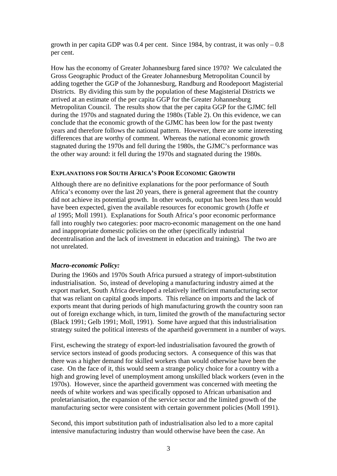growth in per capita GDP was  $0.4$  per cent. Since 1984, by contrast, it was only  $-0.8$ per cent.

How has the economy of Greater Johannesburg fared since 1970? We calculated the Gross Geographic Product of the Greater Johannesburg Metropolitan Council by adding together the GGP of the Johannesburg, Randburg and Roodepoort Magisterial Districts. By dividing this sum by the population of these Magisterial Districts we arrived at an estimate of the per capita GGP for the Greater Johannesburg Metropolitan Council. The results show that the per capita GGP for the GJMC fell during the 1970s and stagnated during the 1980s (Table 2). On this evidence, we can conclude that the economic growth of the GJMC has been low for the past twenty years and therefore follows the national pattern. However, there are some interesting differences that are worthy of comment. Whereas the national economic growth stagnated during the 1970s and fell during the 1980s, the GJMC's performance was the other way around: it fell during the 1970s and stagnated during the 1980s.

#### **EXPLANATIONS FOR SOUTH AFRICA'S POOR ECONOMIC GROWTH**

Although there are no definitive explanations for the poor performance of South Africa's economy over the last 20 years, there is general agreement that the country did not achieve its potential growth. In other words, output has been less than would have been expected, given the available resources for economic growth (Joffe *et al* 1995; Moll 1991). Explanations for South Africa's poor economic performance fall into roughly two categories: poor macro-economic management on the one hand and inappropriate domestic policies on the other (specifically industrial decentralisation and the lack of investment in education and training). The two are not unrelated.

#### *Macro-economic Policy:*

During the 1960s and 1970s South Africa pursued a strategy of import-substitution industrialisation. So, instead of developing a manufacturing industry aimed at the export market, South Africa developed a relatively inefficient manufacturing sector that was reliant on capital goods imports. This reliance on imports and the lack of exports meant that during periods of high manufacturing growth the country soon ran out of foreign exchange which, in turn, limited the growth of the manufacturing sector (Black 1991; Gelb 1991; Moll, 1991). Some have argued that this industrialisation strategy suited the political interests of the apartheid government in a number of ways.

First, eschewing the strategy of export-led industrialisation favoured the growth of service sectors instead of goods producing sectors. A consequence of this was that there was a higher demand for skilled workers than would otherwise have been the case. On the face of it, this would seem a strange policy choice for a country with a high and growing level of unemployment among unskilled black workers (even in the 1970s). However, since the apartheid government was concerned with meeting the needs of white workers and was specifically opposed to African urbanisation and proletarianisation, the expansion of the service sector and the limited growth of the manufacturing sector were consistent with certain government policies (Moll 1991).

Second, this import substitution path of industrialisation also led to a more capital intensive manufacturing industry than would otherwise have been the case. An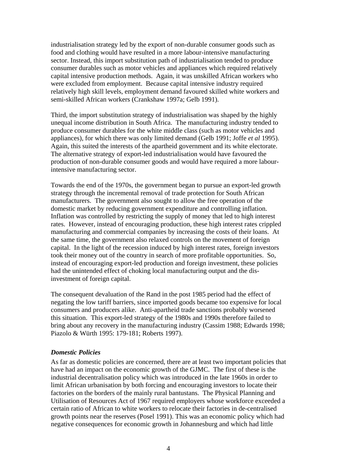industrialisation strategy led by the export of non-durable consumer goods such as food and clothing would have resulted in a more labour-intensive manufacturing sector. Instead, this import substitution path of industrialisation tended to produce consumer durables such as motor vehicles and appliances which required relatively capital intensive production methods. Again, it was unskilled African workers who were excluded from employment. Because capital intensive industry required relatively high skill levels, employment demand favoured skilled white workers and semi-skilled African workers (Crankshaw 1997a; Gelb 1991).

Third, the import substitution strategy of industrialisation was shaped by the highly unequal income distribution in South Africa. The manufacturing industry tended to produce consumer durables for the white middle class (such as motor vehicles and appliances), for which there was only limited demand (Gelb 1991; Joffe *et al* 1995). Again, this suited the interests of the apartheid government and its white electorate. The alternative strategy of export-led industrialisation would have favoured the production of non-durable consumer goods and would have required a more labourintensive manufacturing sector.

Towards the end of the 1970s, the government began to pursue an export-led growth strategy through the incremental removal of trade protection for South African manufacturers. The government also sought to allow the free operation of the domestic market by reducing government expenditure and controlling inflation. Inflation was controlled by restricting the supply of money that led to high interest rates. However, instead of encouraging production, these high interest rates crippled manufacturing and commercial companies by increasing the costs of their loans. At the same time, the government also relaxed controls on the movement of foreign capital. In the light of the recession induced by high interest rates, foreign investors took their money out of the country in search of more profitable opportunities. So, instead of encouraging export-led production and foreign investment, these policies had the unintended effect of choking local manufacturing output and the disinvestment of foreign capital.

The consequent devaluation of the Rand in the post 1985 period had the effect of negating the low tariff barriers, since imported goods became too expensive for local consumers and producers alike. Anti-apartheid trade sanctions probably worsened this situation. This export-led strategy of the 1980s and 1990s therefore failed to bring about any recovery in the manufacturing industry (Cassim 1988; Edwards 1998; Piazolo & Würth 1995: 179-181; Roberts 1997).

#### *Domestic Policies*

As far as domestic policies are concerned, there are at least two important policies that have had an impact on the economic growth of the GJMC. The first of these is the industrial decentralisation policy which was introduced in the late 1960s in order to limit African urbanisation by both forcing and encouraging investors to locate their factories on the borders of the mainly rural bantustans. The Physical Planning and Utilisation of Resources Act of 1967 required employers whose workforce exceeded a certain ratio of African to white workers to relocate their factories in de-centralised growth points near the reserves (Posel 1991). This was an economic policy which had negative consequences for economic growth in Johannesburg and which had little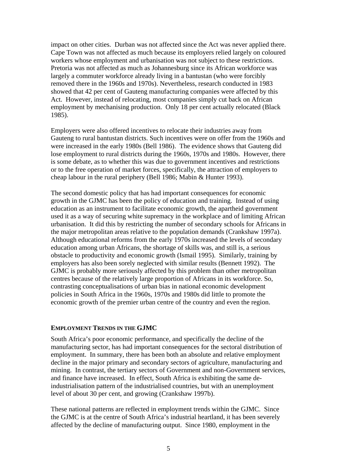impact on other cities. Durban was not affected since the Act was never applied there. Cape Town was not affected as much because its employers relied largely on coloured workers whose employment and urbanisation was not subject to these restrictions. Pretoria was not affected as much as Johannesburg since its African workforce was largely a commuter workforce already living in a bantustan (who were forcibly removed there in the 1960s and 1970s). Nevertheless, research conducted in 1983 showed that 42 per cent of Gauteng manufacturing companies were affected by this Act. However, instead of relocating, most companies simply cut back on African employment by mechanising production. Only 18 per cent actually relocated (Black 1985).

Employers were also offered incentives to relocate their industries away from Gauteng to rural bantustan districts. Such incentives were on offer from the 1960s and were increased in the early 1980s (Bell 1986). The evidence shows that Gauteng did lose employment to rural districts during the 1960s, 1970s and 1980s. However, there is some debate, as to whether this was due to government incentives and restrictions or to the free operation of market forces, specifically, the attraction of employers to cheap labour in the rural periphery (Bell 1986; Mabin & Hunter 1993).

The second domestic policy that has had important consequences for economic growth in the GJMC has been the policy of education and training. Instead of using education as an instrument to facilitate economic growth, the apartheid government used it as a way of securing white supremacy in the workplace and of limiting African urbanisation. It did this by restricting the number of secondary schools for Africans in the major metropolitan areas relative to the population demands (Crankshaw 1997a). Although educational reforms from the early 1970s increased the levels of secondary education among urban Africans, the shortage of skills was, and still is, a serious obstacle to productivity and economic growth (Ismail 1995). Similarly, training by employers has also been sorely neglected with similar results (Bennett 1992). The GJMC is probably more seriously affected by this problem than other metropolitan centres because of the relatively large proportion of Africans in its workforce. So, contrasting conceptualisations of urban bias in national economic development policies in South Africa in the 1960s, 1970s and 1980s did little to promote the economic growth of the premier urban centre of the country and even the region.

#### **EMPLOYMENT TRENDS IN THE GJMC**

South Africa's poor economic performance, and specifically the decline of the manufacturing sector, has had important consequences for the sectoral distribution of employment. In summary, there has been both an absolute and relative employment decline in the major primary and secondary sectors of agriculture, manufacturing and mining. In contrast, the tertiary sectors of Government and non-Government services, and finance have increased. In effect, South Africa is exhibiting the same deindustrialisation pattern of the industrialised countries, but with an unemployment level of about 30 per cent, and growing (Crankshaw 1997b).

These national patterns are reflected in employment trends within the GJMC. Since the GJMC is at the centre of South Africa's industrial heartland, it has been severely affected by the decline of manufacturing output. Since 1980, employment in the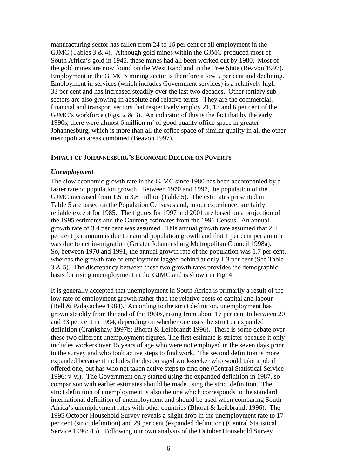manufacturing sector has fallen from 24 to 16 per cent of all employment in the GJMC (Tables  $3 \& 4$ ). Although gold mines within the GJMC produced most of South Africa's gold in 1945, these mines had all been worked out by 1980. Most of the gold mines are now found on the West Rand and in the Free State (Beavon 1997). Employment in the GJMC's mining sector is therefore a low 5 per cent and declining. Employment in services (which includes Government services) is a relatively high 33 per cent and has increased steadily over the last two decades. Other tertiary subsectors are also growing in absolute and relative terms. They are the commercial, financial and transport sectors that respectively employ 21, 13 and 6 per cent of the GJMC's workforce (Figs.  $2 \& 3$ ). An indicator of this is the fact that by the early 1990s, there were almost 6 million  $m<sup>2</sup>$  of good quality office space in greater Johannesburg, which is more than all the office space of similar quality in all the other metropolitan areas combined (Beavon 1997).

#### **IMPACT OF JOHANNESBURG'S ECONOMIC DECLINE ON POVERTY**

#### *Unemployment*

The slow economic growth rate in the GJMC since 1980 has been accompanied by a faster rate of population growth. Between 1970 and 1997, the population of the GJMC increased from 1.5 to 3.8 million (Table 5). The estimates presented in Table 5 are based on the Population Censuses and, in our experience, are fairly reliable except for 1985. The figures for 1997 and 2001 are based on a projection of the 1995 estimates and the Gauteng estimates from the 1996 Census. An annual growth rate of 3.4 per cent was assumed. This annual growth rate assumed that 2.4 per cent per annum is due to natural population growth and that 1 per cent per annum was due to net in-migration (Greater Johannesburg Metropolitan Council 1998a). So, between 1970 and 1991, the annual growth rate of the population was 1.7 per cent, whereas the growth rate of employment lagged behind at only 1.3 per cent (See Table 3 & 5). The discrepancy between these two growth rates provides the demographic basis for rising unemployment in the GJMC and is shown in Fig. 4.

It is generally accepted that unemployment in South Africa is primarily a result of the low rate of employment growth rather than the relative costs of capital and labour (Bell & Padayachee 1984). According to the strict definition, unemployment has grown steadily from the end of the 1960s, rising from about 17 per cent to between 20 and 33 per cent in 1994, depending on whether one uses the strict or expanded definition (Crankshaw 1997b; Bhorat & Leibbrandt 1996). There is some debate over these two different unemployment figures. The first estimate is stricter because it only includes workers over 15 years of age who were not employed in the seven days prior to the survey and who took active steps to find work. The second definition is more expanded because it includes the discouraged work-seeker who would take a job if offered one, but has who not taken active steps to find one (Central Statistical Service 1996: v-vi). The Government only started using the expanded definition in 1987, so comparison with earlier estimates should be made using the strict definition. The strict definition of unemployment is also the one which corresponds to the standard international definition of unemployment and should be used when comparing South Africa's unemployment rates with other countries (Bhorat & Leibbrandt 1996). The 1995 October Household Survey reveals a slight drop in the unemployment rate to 17 per cent (strict definition) and 29 per cent (expanded definition) (Central Statistical Service 1996: 45). Following our own analysis of the October Household Survey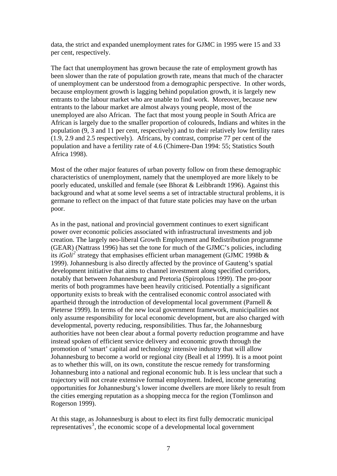data, the strict and expanded unemployment rates for GJMC in 1995 were 15 and 33 per cent, respectively.

The fact that unemployment has grown because the rate of employment growth has been slower than the rate of population growth rate, means that much of the character of unemployment can be understood from a demographic perspective. In other words, because employment growth is lagging behind population growth, it is largely new entrants to the labour market who are unable to find work. Moreover, because new entrants to the labour market are almost always young people, most of the unemployed are also African. The fact that most young people in South Africa are African is largely due to the smaller proportion of coloureds, Indians and whites in the population (9, 3 and 11 per cent, respectively) and to their relatively low fertility rates (1.9, 2.9 and 2.5 respectively). Africans, by contrast, comprise 77 per cent of the population and have a fertility rate of 4.6 (Chimere-Dan 1994: 55; Statistics South Africa 1998).

Most of the other major features of urban poverty follow on from these demographic characteristics of unemployment, namely that the unemployed are more likely to be poorly educated, unskilled and female (see Bhorat & Leibbrandt 1996). Against this background and what at some level seems a set of intractable structural problems, it is germane to reflect on the impact of that future state policies may have on the urban poor.

As in the past, national and provincial government continues to exert significant power over economic policies associated with infrastructural investments and job creation. The largely neo-liberal Growth Employment and Redistribution programme (GEAR) (Nattrass 1996) has set the tone for much of the GJMC's policies, including its *iGoli*<sup>[2](#page-25-1)</sup> strategy that emphasises efficient urban management (GJMC 1998b & 1999). Johannesburg is also directly affected by the province of Gauteng's spatial development initiative that aims to channel investment along specified corridors, notably that between Johannesburg and Pretoria (Spiroplous 1999). The pro-poor merits of both programmes have been heavily criticised. Potentially a significant opportunity exists to break with the centralised economic control associated with apartheid through the introduction of developmental local government (Parnell & Pieterse 1999). In terms of the new local government framework, municipalities not only assume responsibility for local economic development, but are also charged with developmental, poverty reducing, responsibilities. Thus far, the Johannesburg authorities have not been clear about a formal poverty reduction programme and have instead spoken of efficient service delivery and economic growth through the promotion of 'smart' capital and technology intensive industry that will allow Johannesburg to become a world or regional city (Beall et al 1999). It is a moot point as to whether this will, on its own, constitute the rescue remedy for transforming Johannesburg into a national and regional economic hub. It is less unclear that such a trajectory will not create extensive formal employment. Indeed, income generating opportunities for Johannesburg's lower income dwellers are more likely to result from the cities emerging reputation as a shopping mecca for the region (Tomlinson and Rogerson 1999).

At this stage, as Johannesburg is about to elect its first fully democratic municipal representatives<sup>[3](#page-25-1)</sup>, the economic scope of a developmental local government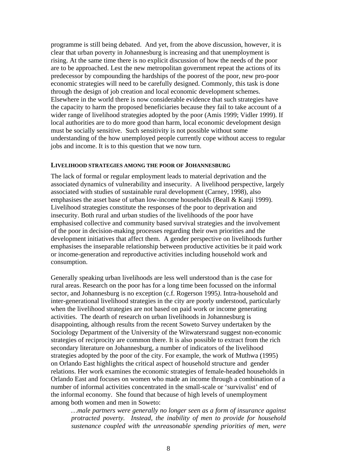programme is still being debated. And yet, from the above discussion, however, it is clear that urban poverty in Johannesburg is increasing and that unemployment is rising. At the same time there is no explicit discussion of how the needs of the poor are to be approached. Lest the new metropolitan government repeat the actions of its predecessor by compounding the hardships of the poorest of the poor, new pro-poor economic strategies will need to be carefully designed. Commonly, this task is done through the design of job creation and local economic development schemes. Elsewhere in the world there is now considerable evidence that such strategies have the capacity to harm the proposed beneficiaries because they fail to take account of a wider range of livelihood strategies adopted by the poor (Amis 1999; Vidler 1999). If local authorities are to do more good than harm, local economic development design must be socially sensitive. Such sensitivity is not possible without some understanding of the how unemployed people currently cope without access to regular jobs and income. It is to this question that we now turn.

#### **LIVELIHOOD STRATEGIES AMONG THE POOR OF JOHANNESBURG**

The lack of formal or regular employment leads to material deprivation and the associated dynamics of vulnerability and insecurity. A livelihood perspective, largely associated with studies of sustainable rural development (Carney, 1998), also emphasises the asset base of urban low-income households (Beall & Kanji 1999). Livelihood strategies constitute the responses of the poor to deprivation and insecurity. Both rural and urban studies of the livelihoods of the poor have emphasised collective and community based survival strategies and the involvement of the poor in decision-making processes regarding their own priorities and the development initiatives that affect them. A gender perspective on livelihoods further emphasises the inseparable relationship between productive activities be it paid work or income-generation and reproductive activities including household work and consumption.

Generally speaking urban livelihoods are less well understood than is the case for rural areas. Research on the poor has for a long time been focussed on the informal sector, and Johannesburg is no exception (c.f. Rogerson 1995*)*. Intra-household and inter-generational livelihood strategies in the city are poorly understood, particularly when the livelihood strategies are not based on paid work or income generating activities. The dearth of research on urban livelihoods in Johannesburg is disappointing, although results from the recent Soweto Survey undertaken by the Sociology Department of the University of the Witwatersrand suggest non-economic strategies of reciprocity are common there. It is also possible to extract from the rich secondary literature on Johannesburg, a number of indicators of the livelihood strategies adopted by the poor of the city. For example, the work of Muthwa (1995) on Orlando East highlights the critical aspect of household structure and gender relations. Her work examines the economic strategies of female-headed households in Orlando East and focuses on women who made an income through a combination of a number of informal activities concentrated in the small-scale or 'survivalist' end of the informal economy. She found that because of high levels of unemployment among both women and men in Soweto:

*…male partners were generally no longer seen as a form of insurance against protracted poverty. Instead, the inability of men to provide for household sustenance coupled with the unreasonable spending priorities of men, were*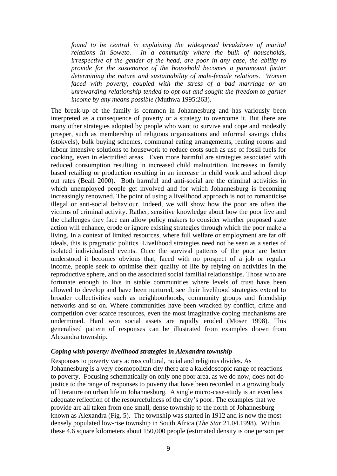*found to be central in explaining the widespread breakdown of marital relations in Soweto. In a community where the bulk of households, irrespective of the gender of the head, are poor in any case, the ability to provide for the sustenance of the household becomes a paramount factor determining the nature and sustainability of male-female relations. Women faced with poverty, coupled with the stress of a bad marriage or an unrewarding relationship tended to opt out and sought the freedom to garner income by any means possible (*Muthwa 1995:263).

The break-up of the family is common in Johannesburg and has variously been interpreted as a consequence of poverty or a strategy to overcome it. But there are many other strategies adopted by people who want to survive and cope and modestly prosper, such as membership of religious organisations and informal savings clubs (stokvels), bulk buying schemes, communal eating arrangements, renting rooms and labour intensive solutions to housework to reduce costs such as use of fossil fuels for cooking, even in electrified areas. Even more harmful are strategies associated with reduced consumption resulting in increased child malnutrition. Increases in family based retailing or production resulting in an increase in child work and school drop out rates (Beall 2000). Both harmful and anti-social are the criminal activities in which unemployed people get involved and for which Johannesburg is becoming increasingly renowned. The point of using a livelihood approach is not to romanticise illegal or anti-social behaviour. Indeed, we will show how the poor are often the victims of criminal activity. Rather, sensitive knowledge about how the poor live and the challenges they face can allow policy makers to consider whether proposed state action will enhance, erode or ignore existing strategies through which the poor make a living. In a context of limited resources, where full welfare or employment are far off ideals, this is pragmatic politics. Livelihood strategies need not be seen as a series of isolated individualised events. Once the survival patterns of the poor are better understood it becomes obvious that, faced with no prospect of a job or regular income, people seek to optimise their quality of life by relying on activities in the reproductive sphere, and on the associated social familial relationships. Those who are fortunate enough to live in stable communities where levels of trust have been allowed to develop and have been nurtured, see their livelihood strategies extend to broader collectivities such as neighbourhoods, community groups and friendship networks and so on. Where communities have been wracked by conflict, crime and competition over scarce resources, even the most imaginative coping mechanisms are undermined. Hard won social assets are rapidly eroded (Moser 1998). This generalised pattern of responses can be illustrated from examples drawn from Alexandra township.

#### *Coping with poverty: livelihood strategies in Alexandra township*

Responses to poverty vary across cultural, racial and religious divides. As Johannesburg is a very cosmopolitan city there are a kaleidoscopic range of reactions to poverty. Focusing schematically on only one poor area, as we do now, does not do justice to the range of responses to poverty that have been recorded in a growing body of literature on urban life in Johannesburg. A single micro-case-study is an even less adequate reflection of the resourcefulness of the city's poor. The examples that we provide are all taken from one small, dense township to the north of Johannesburg known as Alexandra (Fig. 5). The township was started in 1912 and is now the most densely populated low-rise township in South Africa (*The Star* 21.04.1998). Within these 4.6 square kilometers about 150,000 people (estimated density is one person per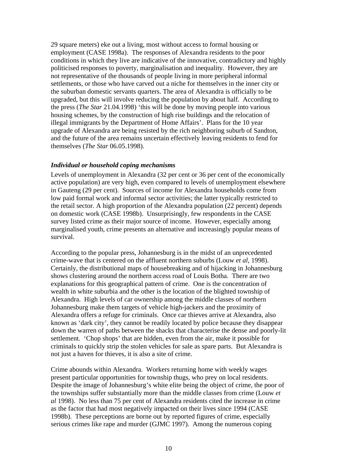29 square meters) eke out a living, most without access to formal housing or employment (CASE 1998a). The responses of Alexandra residents to the poor conditions in which they live are indicative of the innovative, contradictory and highly politicised responses to poverty, marginalisation and inequality. However, they are not representative of the thousands of people living in more peripheral informal settlements, or those who have carved out a niche for themselves in the inner city or the suburban domestic servants quarters. The area of Alexandra is officially to be upgraded, but this will involve reducing the population by about half. According to the press (*The Star* 21.04.1998) 'this will be done by moving people into various housing schemes, by the construction of high rise buildings and the relocation of illegal immigrants by the Department of Home Affairs'. Plans for the 10 year upgrade of Alexandra are being resisted by the rich neighboring suburb of Sandton, and the future of the area remains uncertain effectively leaving residents to fend for themselves (*The Star* 06.05.1998).

#### *Individual or household coping mechanisms*

Levels of unemployment in Alexandra (32 per cent or 36 per cent of the economically active population) are very high, even compared to levels of unemployment elsewhere in Gauteng (29 per cent). Sources of income for Alexandra households come from low paid formal work and informal sector activities; the latter typically restricted to the retail sector. A high proportion of the Alexandra population (22 percent) depends on domestic work (CASE 1998b). Unsurprisingly, few respondents in the CASE survey listed crime as their major source of income. However, especially among marginalised youth, crime presents an alternative and increasingly popular means of survival.

According to the popular press, Johannesburg is in the midst of an unprecedented crime-wave that is centered on the affluent northern suburbs (Louw *et al*, 1998). Certainly, the distributional maps of housebreaking and of hijacking in Johannesburg shows clustering around the northern access road of Louis Botha. There are two explanations for this geographical pattern of crime. One is the concentration of wealth in white suburbia and the other is the location of the blighted township of Alexandra. High levels of car ownership among the middle classes of northern Johannesburg make them targets of vehicle high-jackers and the proximity of Alexandra offers a refuge for criminals. Once car thieves arrive at Alexandra, also known as 'dark city', they cannot be readily located by police because they disappear down the warren of paths between the shacks that characterise the dense and poorly-lit settlement. 'Chop shops' that are hidden, even from the air, make it possible for criminals to quickly strip the stolen vehicles for sale as spare parts. But Alexandra is not just a haven for thieves, it is also a site of crime.

Crime abounds within Alexandra. Workers returning home with weekly wages present particular opportunities for township thugs, who prey on local residents. Despite the image of Johannesburg's white elite being the object of crime, the poor of the townships suffer substantially more than the middle classes from crime (Louw *et al* 1998). No less than 75 per cent of Alexandra residents cited the increase in crime as the factor that had most negatively impacted on their lives since 1994 (CASE 1998b). These perceptions are borne out by reported figures of crime, especially serious crimes like rape and murder (GJMC 1997). Among the numerous coping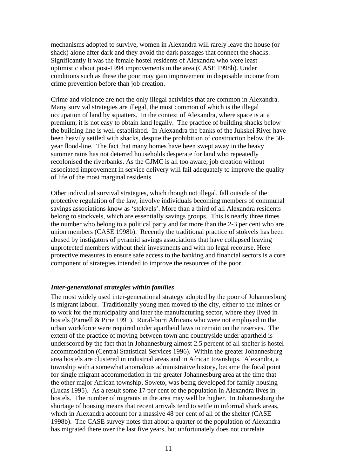mechanisms adopted to survive, women in Alexandra will rarely leave the house (or shack) alone after dark and they avoid the dark passages that connect the shacks. Significantly it was the female hostel residents of Alexandra who were least optimistic about post-1994 improvements in the area (CASE 1998b). Under conditions such as these the poor may gain improvement in disposable income from crime prevention before than job creation.

Crime and violence are not the only illegal activities that are common in Alexandra. Many survival strategies are illegal, the most common of which is the illegal occupation of land by squatters. In the context of Alexandra, where space is at a premium, it is not easy to obtain land legally. The practice of building shacks below the building line is well established. In Alexandra the banks of the Jukskei River have been heavily settled with shacks, despite the prohibition of construction below the 50 year flood-line. The fact that many homes have been swept away in the heavy summer rains has not deterred households desperate for land who repeatedly recolonised the riverbanks. As the GJMC is all too aware, job creation without associated improvement in service delivery will fail adequately to improve the quality of life of the most marginal residents.

Other individual survival strategies, which though not illegal, fall outside of the protective regulation of the law, involve individuals becoming members of communal savings associations know as 'stokvels'. More than a third of all Alexandra residents belong to stockvels, which are essentially savings groups. This is nearly three times the number who belong to a political party and far more than the 2-3 per cent who are union members (CASE 1998b). Recently the traditional practice of stokvels has been abused by instigators of pyramid savings associations that have collapsed leaving unprotected members without their investments and with no legal recourse. Here protective measures to ensure safe access to the banking and financial sectors is a core component of strategies intended to improve the resources of the poor.

#### *Inter-generational strategies within families*

The most widely used inter-generational strategy adopted by the poor of Johannesburg is migrant labour. Traditionally young men moved to the city, either to the mines or to work for the municipality and later the manufacturing sector, where they lived in hostels (Parnell & Pirie 1991). Rural-born Africans who were not employed in the urban workforce were required under apartheid laws to remain on the reserves. The extent of the practice of moving between town and countryside under apartheid is underscored by the fact that in Johannesburg almost 2.5 percent of all shelter is hostel accommodation (Central Statistical Services 1996). Within the greater Johannesburg area hostels are clustered in industrial areas and in African townships. Alexandra, a township with a somewhat anomalous administrative history, became the focal point for single migrant accommodation in the greater Johannesburg area at the time that the other major African township, Soweto, was being developed for family housing (Lucas 1995). As a result some 17 per cent of the population in Alexandra lives in hostels. The number of migrants in the area may well be higher. In Johannesburg the shortage of housing means that recent arrivals tend to settle in informal shack areas, which in Alexandra account for a massive 48 per cent of all of the shelter (CASE 1998b). The CASE survey notes that about a quarter of the population of Alexandra has migrated there over the last five years, but unfortunately does not correlate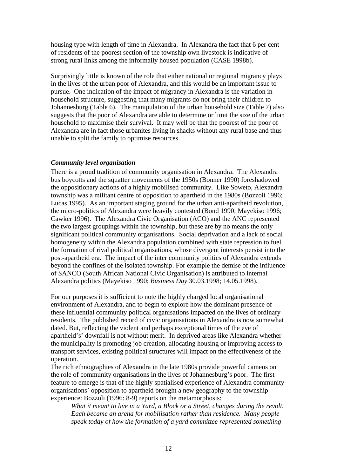housing type with length of time in Alexandra. In Alexandra the fact that 6 per cent of residents of the poorest section of the township own livestock is indicative of strong rural links among the informally housed population (CASE 1998b).

Surprisingly little is known of the role that either national or regional migrancy plays in the lives of the urban poor of Alexandra, and this would be an important issue to pursue. One indication of the impact of migrancy in Alexandra is the variation in household structure, suggesting that many migrants do not bring their children to Johannesburg (Table 6). The manipulation of the urban household size (Table 7) also suggests that the poor of Alexandra are able to determine or limit the size of the urban household to maximise their survival. It may well be that the poorest of the poor of Alexandra are in fact those urbanites living in shacks without any rural base and thus unable to split the family to optimise resources.

#### *Community level organisation*

There is a proud tradition of community organisation in Alexandra. The Alexandra bus boycotts and the squatter movements of the 1950s (Bonner 1990) foreshadowed the oppositionary actions of a highly mobilised community. Like Soweto, Alexandra township was a militant centre of opposition to apartheid in the 1980s (Bozzoli 1996; Lucas 1995). As an important staging ground for the urban anti-apartheid revolution, the micro-politics of Alexandra were heavily contested (Bond 1990; Mayekiso 1996; Cawker 1996). The Alexandra Civic Organisation (ACO) and the ANC represented the two largest groupings within the township, but these are by no means the only significant political community organisations. Social deprivation and a lack of social homogeneity within the Alexandra population combined with state repression to fuel the formation of rival political organisations, whose divergent interests persist into the post-apartheid era. The impact of the inter community politics of Alexandra extends beyond the confines of the isolated township. For example the demise of the influence of SANCO (South African National Civic Organisation) is attributed to internal Alexandra politics (Mayekiso 1990; *Business Day* 30.03.1998; 14.05.1998).

For our purposes it is sufficient to note the highly charged local organisational environment of Alexandra, and to begin to explore how the dominant presence of these influential community political organisations impacted on the lives of ordinary residents. The published record of civic organisations in Alexandra is now somewhat dated. But, reflecting the violent and perhaps exceptional times of the eve of apartheid's' downfall is not without merit. In deprived areas like Alexandra whether the municipality is promoting job creation, allocating housing or improving access to transport services, existing political structures will impact on the effectiveness of the operation.

The rich ethnographies of Alexandra in the late 1980s provide powerful cameos on the role of community organisations in the lives of Johannesburg's poor. The first feature to emerge is that of the highly spatialised experience of Alexandra community organisations' opposition to apartheid brought a new geography to the township experience: Bozzoli (1996: 8-9) reports on the metamorphosis:

*What it meant to live in a Yard, a Block or a Street, changes during the revolt. Each became an arena for mobilisation rather than residence. Many people speak today of how the formation of a yard committee represented something*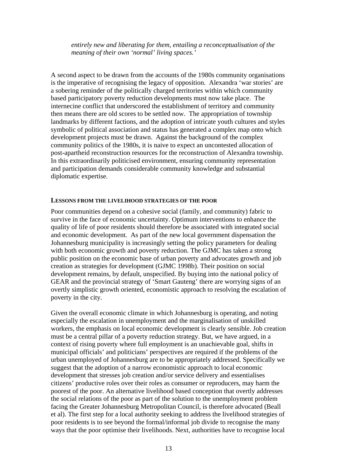*entirely new and liberating for them, entailing a reconceptualisation of the meaning of their own 'normal' living spaces.'* 

A second aspect to be drawn from the accounts of the 1980s community organisations is the imperative of recognising the legacy of opposition. Alexandra 'war stories' are a sobering reminder of the politically charged territories within which community based participatory poverty reduction developments must now take place. The internecine conflict that underscored the establishment of territory and community then means there are old scores to be settled now. The appropriation of township landmarks by different factions, and the adoption of intricate youth cultures and styles symbolic of political association and status has generated a complex map onto which development projects must be drawn. Against the background of the complex community politics of the 1980s, it is naive to expect an uncontested allocation of post-apartheid reconstruction resources for the reconstruction of Alexandra township. In this extraordinarily politicised environment, ensuring community representation and participation demands considerable community knowledge and substantial diplomatic expertise.

#### **LESSONS FROM THE LIVELIHOOD STRATEGIES OF THE POOR**

Poor communities depend on a cohesive social (family, and community) fabric to survive in the face of economic uncertainty. Optimum interventions to enhance the quality of life of poor residents should therefore be associated with integrated social and economic development. As part of the new local government dispensation the Johannesburg municipality is increasingly setting the policy parameters for dealing with both economic growth and poverty reduction. The GJMC has taken a strong public position on the economic base of urban poverty and advocates growth and job creation as strategies for development (GJMC 1998b). Their position on social development remains, by default, unspecified. By buying into the national policy of GEAR and the provincial strategy of 'Smart Gauteng' there are worrying signs of an overtly simplistic growth oriented, economistic approach to resolving the escalation of poverty in the city.

Given the overall economic climate in which Johannesburg is operating, and noting especially the escalation in unemployment and the marginalisation of unskilled workers, the emphasis on local economic development is clearly sensible. Job creation must be a central pillar of a poverty reduction strategy. But, we have argued, in a context of rising poverty where full employment is an unachievable goal, shifts in municipal officials' and politicians' perspectives are required if the problems of the urban unemployed of Johannesburg are to be appropriately addressed. Specifically we suggest that the adoption of a narrow economistic approach to local economic development that stresses job creation and/or service delivery and essentialises citizens' productive roles over their roles as consumer or reproducers, may harm the poorest of the poor. An alternative livelihood based conception that overtly addresses the social relations of the poor as part of the solution to the unemployment problem facing the Greater Johannesburg Metropolitan Council, is therefore advocated (Beall et al). The first step for a local authority seeking to address the livelihood strategies of poor residents is to see beyond the formal/informal job divide to recognise the many ways that the poor optimise their livelihoods. Next, authorities have to recognise local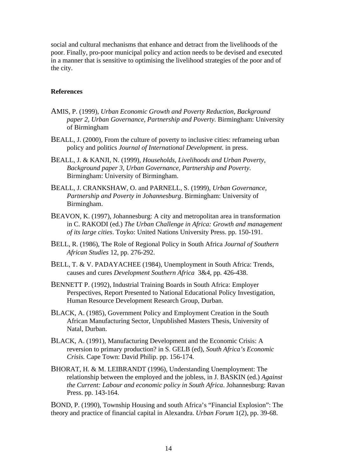social and cultural mechanisms that enhance and detract from the livelihoods of the poor. Finally, pro-poor municipal policy and action needs to be devised and executed in a manner that is sensitive to optimising the livelihood strategies of the poor and of the city.

#### **References**

- AMIS, P. (1999), *Urban Economic Growth and Poverty Reduction, Background paper 2, Urban Governance, Partnership and Poverty.* Birmingham: University of Birmingham
- BEALL, J. (2000), From the culture of poverty to inclusive cities: reframeing urban policy and politics *Journal of International Development.* in press.
- BEALL, J. & KANJI, N. (1999), *Households, Livelihoods and Urban Poverty, Background paper 3, Urban Governance, Partnership and Poverty*. Birmingham: University of Birmingham.
- BEALL, J. CRANKSHAW, O. and PARNELL, S. (1999), *Urban Governance, Partnership and Poverty in Johannesburg*. Birmingham: University of Birmingham.
- BEAVON, K. (1997), Johannesburg: A city and metropolitan area in transformation in C. RAKODI (ed.) *The Urban Challenge in Africa: Growth and management of its large cities*. Toyko: United Nations University Press. pp. 150-191.
- BELL, R. (1986), The Role of Regional Policy in South Africa *Journal of Southern African Studies* 12, pp. 276-292.
- BELL, T. & V. PADAYACHEE (1984), Unemployment in South Africa: Trends, causes and cures *Development Southern Africa* 3&4, pp. 426-438.
- BENNETT P. (1992), Industrial Training Boards in South Africa: Employer Perspectives, Report Presented to National Educational Policy Investigation, Human Resource Development Research Group, Durban.
- BLACK, A. (1985), Government Policy and Employment Creation in the South African Manufacturing Sector, Unpublished Masters Thesis, University of Natal, Durban.
- BLACK, A. (1991), Manufacturing Development and the Economic Crisis: A reversion to primary production? in S. GELB (ed), *South Africa's Economic Crisis.* Cape Town: David Philip. pp. 156-174.
- BHORAT, H. & M. LEIBRANDT (1996), Understanding Unemployment: The relationship between the employed and the jobless, in J. BASKIN (ed.) *Against the Current: Labour and economic policy in South Africa*. Johannesburg: Ravan Press. pp. 143-164.

BOND, P. (1990), Township Housing and south Africa's "Financial Explosion": The theory and practice of financial capital in Alexandra. *Urban Forum* 1(2), pp. 39-68.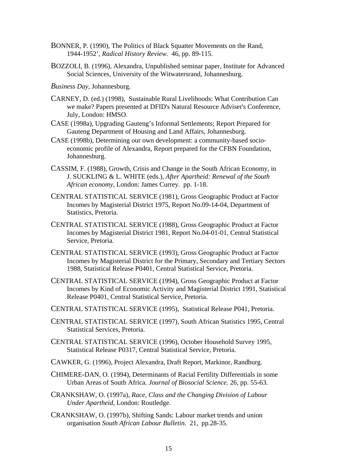- BONNER, P. (1990), The Politics of Black Squatter Movements on the Rand, 1944-1952', *Radical History Review.* 46, pp. 89-115.
- BOZZOLI, B. (1996), Alexandra, Unpublished seminar paper, Institute for Advanced Social Sciences, University of the Witwatersrand, Johannesburg.
- *Business Day*, Johannesburg.
- CARNEY, D. (ed.) (1998), Sustainable Rural Livelihoods: What Contribution Can we make? Papers presented at DFID's Natural Resource Adviser's Conference, July, London: HMSO.
- CASE (1998a), Upgrading Gauteng's Informal Settlements; Report Prepared for Gauteng Department of Housing and Land Affairs, Johannesburg.
- CASE (1998b), Determining our own development: a community-based socioeconomic profile of Alexandra, Report prepared for the CFBN Foundation, Johannesburg.
- CASSIM, F. (1988), Growth, Crisis and Change in the South African Economy, in J. SUCKLING & L. WHITE (eds.), *After Apartheid: Renewal of the South African economy*, London: James Currey. pp. 1-18.
- CENTRAL STATISTICAL SERVICE (1981), Gross Geographic Product at Factor Incomes by Magisterial District 1975, Report No.09-14-04, Department of Statistics, Pretoria.
- CENTRAL STATISTICAL SERVICE (1988), Gross Geographic Product at Factor Incomes by Magisterial District 1981, Report No.04-01-01, Central Statistical Service, Pretoria.
- CENTRAL STATISTICAL SERVICE (1993), Gross Geographic Product at Factor Incomes by Magisterial District for the Primary, Secondary and Tertiary Sectors 1988, Statistical Release P0401, Central Statistical Service, Pretoria.
- CENTRAL STATISTICAL SERVICE (1994), Gross Geographic Product at Factor Incomes by Kind of Economic Activity and Magisterial District 1991, Statistical Release P0401, Central Statistical Service, Pretoria.
- CENTRAL STATISTICAL SERVICE (1995), Statistical Release P041, Pretoria.
- CENTRAL STATISTICAL SERVICE (1997), South African Statistics 1995, Central Statistical Services, Pretoria.
- CENTRAL STATISTICAL SERVICE (1996), October Household Survey 1995, Statistical Release P0317, Central Statistical Service, Pretoria.
- CAWKER, G. (1996), Project Alexandra, Draft Report, Markinor, Randburg.
- CHIMERE-DAN, O. (1994), Determinants of Racial Fertility Differentials in some Urban Areas of South Africa. *Journal of Biosocial Science.* 26, pp. 55-63.
- CRANKSHAW, O. (1997a), *Race, Class and the Changing Division of Labour Under Apartheid*, London: Routledge.
- CRANKSHAW, O. (1997b), Shifting Sands: Labour market trends and union organisation *South African Labour Bulletin.* 21, pp.28-35.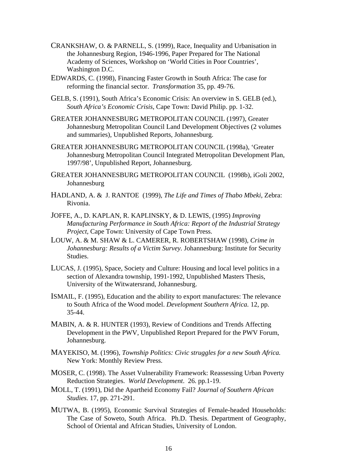- CRANKSHAW, O. & PARNELL, S. (1999), Race, Inequality and Urbanisation in the Johannesburg Region, 1946-1996, Paper Prepared for The National Academy of Sciences, Workshop on 'World Cities in Poor Countries', Washington D.C.
- EDWARDS, C. (1998), Financing Faster Growth in South Africa: The case for reforming the financial sector. *Transformation* 35, pp. 49-76.
- GELB, S. (1991), South Africa's Economic Crisis: An overview in S. GELB (ed.), *South Africa's Economic Crisis*, Cape Town: David Philip. pp. 1-32.
- GREATER JOHANNESBURG METROPOLITAN COUNCIL (1997), Greater Johannesburg Metropolitan Council Land Development Objectives (2 volumes and summaries), Unpublished Reports, Johannesburg.
- GREATER JOHANNESBURG METROPOLITAN COUNCIL (1998a), 'Greater Johannesburg Metropolitan Council Integrated Metropolitan Development Plan, 1997/98', Unpublished Report, Johannesburg.
- GREATER JOHANNESBURG METROPOLITAN COUNCIL (1998b), iGoli 2002, Johannesburg
- HADLAND, A. & J. RANTOE (1999), *The Life and Times of Thabo Mbeki,* Zebra: Rivonia.
- JOFFE, A., D. KAPLAN, R. KAPLINSKY, & D. LEWIS, (1995) *Improving Manufacturing Performance in South Africa: Report of the Industrial Strategy Project,* Cape Town: University of Cape Town Press.
- LOUW, A. & M. SHAW & L. CAMERER, R. ROBERTSHAW (1998), *Crime in Johannesburg: Results of a Victim Survey.* Johannesburg: Institute for Security Studies.
- LUCAS, J. (1995), Space, Society and Culture: Housing and local level politics in a section of Alexandra township, 1991-1992, Unpublished Masters Thesis, University of the Witwatersrand, Johannesburg.
- ISMAIL, F. (1995), Education and the ability to export manufactures: The relevance to South Africa of the Wood model. *Development Southern Africa.* 12, pp. 35-44.
- MABIN, A. & R. HUNTER (1993), Review of Conditions and Trends Affecting Development in the PWV, Unpublished Report Prepared for the PWV Forum, Johannesburg.
- MAYEKISO, M. (1996), *Township Politics: Civic struggles for a new South Africa.*  New York: Monthly Review Press.
- MOSER, C. (1998). The Asset Vulnerability Framework: Reassessing Urban Poverty Reduction Strategies. *World Development*. 26. pp.1-19.
- MOLL, T. (1991), Did the Apartheid Economy Fail? *Journal of Southern African Studies.* 17, pp. 271-291.
- MUTWA, B. (1995), Economic Survival Strategies of Female-headed Households: The Case of Soweto, South Africa. Ph.D. Thesis. Department of Geography, School of Oriental and African Studies, University of London.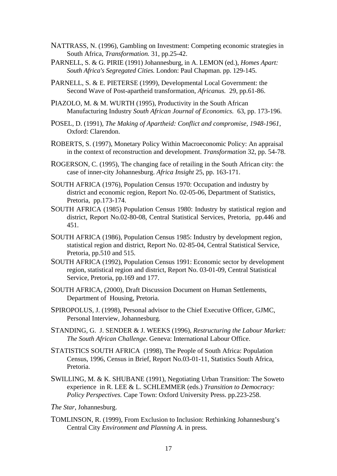- NATTRASS, N. (1996), Gambling on Investment: Competing economic strategies in South Africa, *Transformation.* 31, pp.25-42.
- PARNELL, S. & G. PIRIE (1991) Johannesburg, in A. LEMON (ed.), *Homes Apart: South Africa's Segregated Cities.* London: Paul Chapman. pp. 129-145.
- PARNELL, S. & E. PIETERSE (1999), Developmental Local Government: the Second Wave of Post-apartheid transformation, *Africanus.* 29, pp.61-86.
- PIAZOLO, M. & M. WURTH (1995), Productivity in the South African Manufacturing Industry *South African Journal of Economics.* 63, pp. 173-196.
- POSEL, D. (1991), *The Making of Apartheid: Conflict and compromise, 1948-1961*, Oxford: Clarendon.
- ROBERTS, S. (1997), Monetary Policy Within Macroeconomic Policy: An appraisal in the context of reconstruction and development. *Transformation* 32, pp. 54-78.
- ROGERSON, C. (1995), The changing face of retailing in the South African city: the case of inner-city Johannesburg. *Africa Insight* 25, pp. 163-171.
- SOUTH AFRICA (1976), Population Census 1970: Occupation and industry by district and economic region, Report No. 02-05-06*,* Department of Statistics, Pretoria, pp.173-174.
- SOUTH AFRICA (1985) Population Census 1980: Industry by statistical region and district, Report No.02-80-08, Central Statistical Services, Pretoria, pp.446 and 451.
- SOUTH AFRICA (1986), Population Census 1985: Industry by development region, statistical region and district, Report No. 02-85-04*,* Central Statistical Service, Pretoria, pp.510 and 515.
- SOUTH AFRICA (1992), Population Census 1991: Economic sector by development region, statistical region and district, Report No. 03-01-09*,* Central Statistical Service, Pretoria, pp.169 and 177.
- SOUTH AFRICA, (2000), Draft Discussion Document on Human Settlements, Department of Housing, Pretoria.
- SPIROPOLUS, J. (1998), Personal advisor to the Chief Executive Officer, GJMC, Personal Interview, Johannesburg.
- STANDING, G. J. SENDER & J. WEEKS (1996), *Restructuring the Labour Market: The South African Challenge.* Geneva: International Labour Office.
- STATISTICS SOUTH AFRICA (1998), The People of South Africa: Population Census, 1996, Census in Brief, Report No.03-01-11, Statistics South Africa, Pretoria.
- SWILLING, M. & K. SHUBANE (1991), Negotiating Urban Transition: The Soweto experience in R. LEE & L. SCHLEMMER (eds.) *Transition to Democracy: Policy Perspectives.* Cape Town: Oxford University Press. pp.223-258.
- *The Star*, Johannesburg.
- TOMLINSON, R. (1999), From Exclusion to Inclusion: Rethinking Johannesburg's Central City *Environment and Planning A.* in press.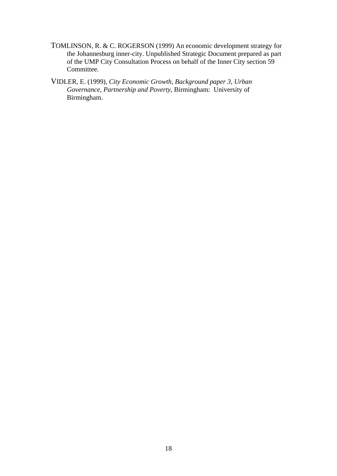- TOMLINSON, R. & C. ROGERSON (1999) An economic development strategy for the Johannesburg inner-city. Unpublished Strategic Document prepared as part of the UMP City Consultation Process on behalf of the Inner City section 59 Committee.
- VIDLER, E. (1999), *City Economic Growth, Background paper 3, Urban Governance, Partnership and Poverty*, Birmingham: University of Birmingham.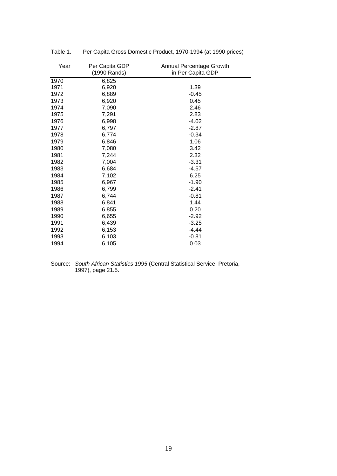| Year | Per Capita GDP | Annual Percentage Growth |  |
|------|----------------|--------------------------|--|
|      | (1990 Rands)   | in Per Capita GDP        |  |
| 1970 | 6,825          |                          |  |
| 1971 | 6,920          | 1.39                     |  |
| 1972 | 6,889          | $-0.45$                  |  |
| 1973 | 6,920          | 0.45                     |  |
| 1974 | 7,090          | 2.46                     |  |
| 1975 | 7,291          | 2.83                     |  |
| 1976 | 6,998          | $-4.02$                  |  |
| 1977 | 6,797          | $-2.87$                  |  |
| 1978 | 6,774          | $-0.34$                  |  |
| 1979 | 6,846          | 1.06                     |  |
| 1980 | 7,080          | 3.42                     |  |
| 1981 | 7,244          | 2.32                     |  |
| 1982 | 7,004          | $-3.31$                  |  |
| 1983 | 6,684          | $-4.57$                  |  |
| 1984 | 7,102          | 6.25                     |  |
| 1985 | 6,967          | $-1.90$                  |  |
| 1986 | 6,799          | $-2.41$                  |  |
| 1987 | 6,744          | $-0.81$                  |  |
| 1988 | 6,841          | 1.44                     |  |
| 1989 | 6,855          | 0.20                     |  |
| 1990 | 6,655          | $-2.92$                  |  |
| 1991 | 6,439          | $-3.25$                  |  |
| 1992 | 6,153          | $-4.44$                  |  |
| 1993 | 6,103          | $-0.81$                  |  |
| 1994 | 6,105          | 0.03                     |  |

Table 1. Per Capita Gross Domestic Product, 1970-1994 (at 1990 prices)

Source: *South African Statistics 1995* (Central Statistical Service, Pretoria, 1997), page 21.5.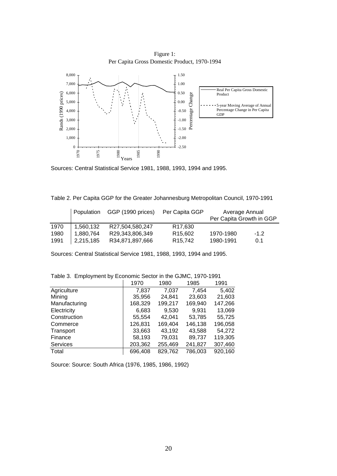

Figure 1:

Sources: Central Statistical Service 1981, 1988, 1993, 1994 and 1995.

Table 2. Per Capita GGP for the Greater Johannesburg Metropolitan Council, 1970-1991

|      | Population | GGP (1990 prices) | Per Capita GGP      | Average Annual<br>Per Capita Growth in GGP |       |
|------|------------|-------------------|---------------------|--------------------------------------------|-------|
| 1970 | 1,560,132  | R27,504,580,247   | R <sub>17.630</sub> |                                            |       |
| 1980 | 1,880,764  | R29.343.806.349   | R <sub>15.602</sub> | 1970-1980                                  | $-12$ |
| 1991 | 2,215,185  | R34,871,897,666   | R <sub>15.742</sub> | 1980-1991                                  | 0.1   |

Sources: Central Statistical Service 1981, 1988, 1993, 1994 and 1995.

|  | Table 3. Employment by Economic Sector in the GJMC, 1970-1991 |  |  |  |  |  |
|--|---------------------------------------------------------------|--|--|--|--|--|
|--|---------------------------------------------------------------|--|--|--|--|--|

|                 | 1970    | 1980    | 1985    | 1991    |
|-----------------|---------|---------|---------|---------|
| Agriculture     | 7,837   | 7,037   | 7,454   | 5,402   |
| Mining          | 35,956  | 24,841  | 23,603  | 21,603  |
| Manufacturing   | 168,329 | 199,217 | 169,940 | 147,266 |
| Electricity     | 6,683   | 9,530   | 9,931   | 13,069  |
| Construction    | 55,554  | 42.041  | 53,785  | 55,725  |
| Commerce        | 126,831 | 169,404 | 146,138 | 196,058 |
| Transport       | 33,663  | 43.192  | 43,588  | 54,272  |
| Finance         | 58,193  | 79,031  | 89,737  | 119,305 |
| <b>Services</b> | 203,362 | 255,469 | 241,827 | 307,460 |
| Total           | 696,408 | 829,762 | 786,003 | 920,160 |

Source: Source: South Africa (1976, 1985, 1986, 1992)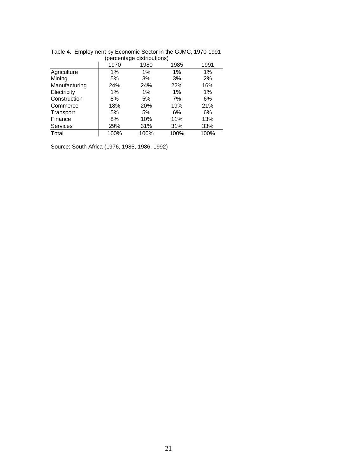|                 |      | poroomago alambullona, |       |      |
|-----------------|------|------------------------|-------|------|
|                 | 1970 | 1980                   | 1985  | 1991 |
| Agriculture     | 1%   | 1%                     | 1%    | 1%   |
| Mining          | 5%   | 3%                     | 3%    | 2%   |
| Manufacturing   | 24%  | 24%                    | 22%   | 16%  |
| Electricity     | 1%   | $1\%$                  | $1\%$ | 1%   |
| Construction    | 8%   | 5%                     | 7%    | 6%   |
| Commerce        | 18%  | 20%                    | 19%   | 21%  |
| Transport       | 5%   | 5%                     | 6%    | 6%   |
| Finance         | 8%   | 10%                    | 11%   | 13%  |
| <b>Services</b> | 29%  | 31%                    | 31%   | 33%  |
| Total           | 100% | 100%                   | 100%  | 100% |

Table 4. Employment by Economic Sector in the GJMC, 1970-1991 (percentage distributions)

Source: South Africa (1976, 1985, 1986, 1992)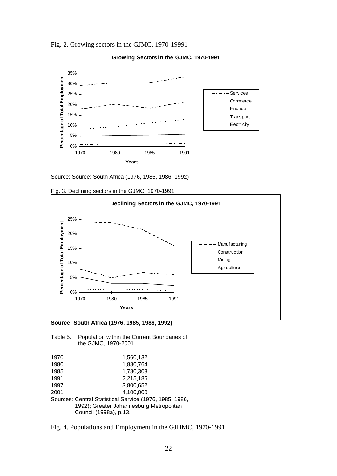Fig. 2. Growing sectors in the GJMC, 1970-19991



Source: Source: South Africa (1976, 1985, 1986, 1992)

| Fig. 3. Declining sectors in the GJMC, 1970-1991 |  |  |
|--------------------------------------------------|--|--|
|--------------------------------------------------|--|--|



**Source: South Africa (1976, 1985, 1986, 1992)** 

Table 5. Population within the Current Boundaries of the GJMC, 1970-2001

| 1970 | 1,560,132                                               |
|------|---------------------------------------------------------|
| 1980 | 1,880,764                                               |
| 1985 | 1,780,303                                               |
| 1991 | 2,215,185                                               |
| 1997 | 3,800,652                                               |
| 2001 | 4,100,000                                               |
|      | Sources: Central Statistical Service (1976, 1985, 1986, |
|      | 1992); Greater Johannesburg Metropolitan                |
|      | Council (1998a), p.13.                                  |

Fig. 4. Populations and Employment in the GJHMC, 1970-1991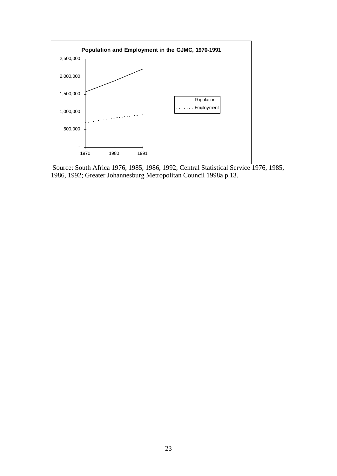

 Source: South Africa 1976, 1985, 1986, 1992; Central Statistical Service 1976, 1985, 1986, 1992; Greater Johannesburg Metropolitan Council 1998a p.13.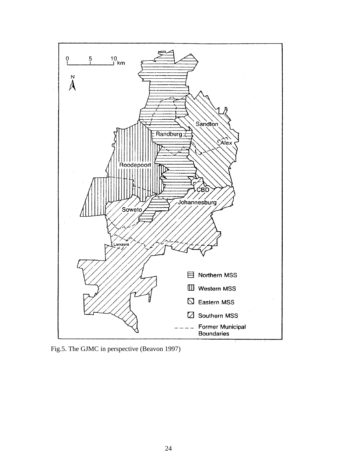

Fig.5. The GJMC in perspective (Beavon 1997)